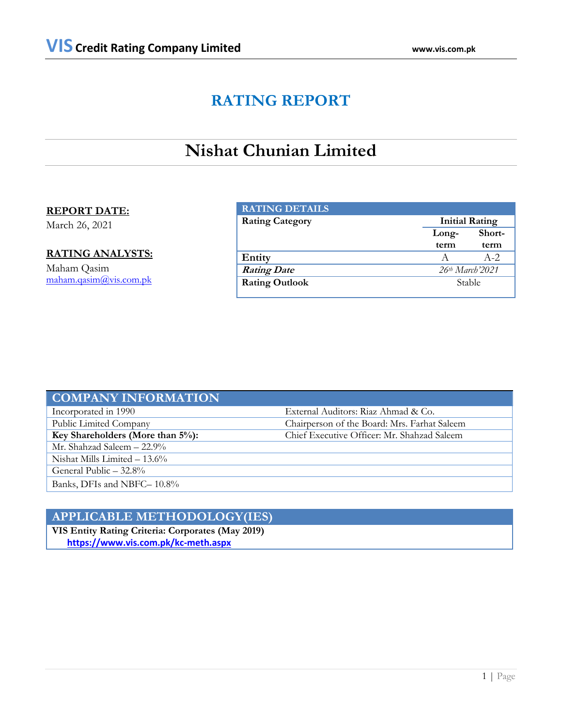# **RATING REPORT**

# **Nishat Chunian Limited**

# **REPORT DATE:**

March 26, 2021

# **RATING ANALYSTS:**

Maham Qasim [maham.qasim@vis.com.pk](mailto:maham.qasim@vis.com.pk)

| <b>RATING DETAILS</b>  |       |                             |  |  |
|------------------------|-------|-----------------------------|--|--|
| <b>Rating Category</b> |       | <b>Initial Rating</b>       |  |  |
|                        | Long- | Short-                      |  |  |
|                        | term  | term                        |  |  |
| Entity                 |       | $A-2$                       |  |  |
| <b>Rating Date</b>     |       | 26 <sup>th</sup> March'2021 |  |  |
| <b>Rating Outlook</b>  |       | Stable                      |  |  |

| <b>COMPANY INFORMATION</b>           |                                              |
|--------------------------------------|----------------------------------------------|
| Incorporated in 1990                 | External Auditors: Riaz Ahmad & Co.          |
| Public Limited Company               | Chairperson of the Board: Mrs. Farhat Saleem |
| Key Shareholders (More than $5\%$ ): | Chief Executive Officer: Mr. Shahzad Saleem  |
| Mr. Shahzad Saleem – 22.9%           |                                              |
| Nishat Mills Limited $-13.6\%$       |                                              |
| General Public $-32.8\%$             |                                              |
| Banks, DFIs and NBFC-10.8%           |                                              |

# **APPLICABLE METHODOLOGY(IES)**

**VIS Entity Rating Criteria: Corporates (May 2019)** **<https://www.vis.com.pk/kc-meth.aspx>**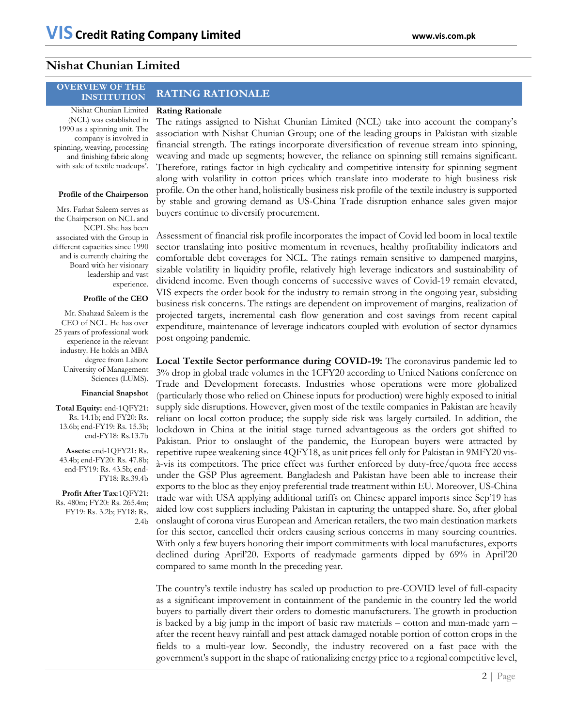# **Nishat Chunian Limited**

# **OVERVIEW OF THE**

Nishat Chunian Limited (NCL) was established in 1990 as a spinning unit. The company is involved in spinning, weaving, processing and finishing fabric along with sale of textile madeups'.

# **Profile of the Chairperson**

Mrs. Farhat Saleem serves as the Chairperson on NCL and NCPL She has been associated with the Group in different capacities since 1990 and is currently chairing the Board with her visionary leadership and vast experience.

# **Profile of the CEO**

Mr. Shahzad Saleem is the CEO of NCL. He has over 25 years of professional work experience in the relevant industry. He holds an MBA degree from Lahore University of Management Sciences (LUMS).

# **Financial Snapshot**

**Total Equity:** end-1QFY21: Rs. 14.1b; end-FY20: Rs. 13.6b; end-FY19: Rs. 15.3b; end-FY18: Rs.13.7b

**Assets:** end-1QFY21: Rs. 43.4b; end-FY20: Rs. 47.8b; end-FY19: Rs. 43.5b; end-FY18: Rs.39.4b

**Profit After Tax**:1QFY21: Rs. 480m; FY20: Rs. 265.4m; FY19: Rs. 3.2b; FY18: Rs. 2.4b

# **INSTITUTION RATING RATIONALE**

# **Rating Rationale**

The ratings assigned to Nishat Chunian Limited (NCL) take into account the company's association with Nishat Chunian Group; one of the leading groups in Pakistan with sizable financial strength. The ratings incorporate diversification of revenue stream into spinning, weaving and made up segments; however, the reliance on spinning still remains significant. Therefore, ratings factor in high cyclicality and competitive intensity for spinning segment along with volatility in cotton prices which translate into moderate to high business risk profile. On the other hand, holistically business risk profile of the textile industry is supported by stable and growing demand as US-China Trade disruption enhance sales given major buyers continue to diversify procurement.

Assessment of financial risk profile incorporates the impact of Covid led boom in local textile sector translating into positive momentum in revenues, healthy profitability indicators and comfortable debt coverages for NCL. The ratings remain sensitive to dampened margins, sizable volatility in liquidity profile, relatively high leverage indicators and sustainability of dividend income. Even though concerns of successive waves of Covid-19 remain elevated, VIS expects the order book for the industry to remain strong in the ongoing year, subsiding business risk concerns. The ratings are dependent on improvement of margins, realization of projected targets, incremental cash flow generation and cost savings from recent capital expenditure, maintenance of leverage indicators coupled with evolution of sector dynamics post ongoing pandemic.

**Local Textile Sector performance during COVID-19:** The coronavirus pandemic led to 3% drop in global trade volumes in the 1CFY20 according to United Nations conference on Trade and Development forecasts. Industries whose operations were more globalized (particularly those who relied on Chinese inputs for production) were highly exposed to initial supply side disruptions. However, given most of the textile companies in Pakistan are heavily reliant on local cotton produce; the supply side risk was largely curtailed. In addition, the lockdown in China at the initial stage turned advantageous as the orders got shifted to Pakistan. Prior to onslaught of the pandemic, the European buyers were attracted by repetitive rupee weakening since 4QFY18, as unit prices fell only for Pakistan in 9MFY20 visà-vis its competitors. The price effect was further enforced by duty-free/quota free access under the GSP Plus agreement. Bangladesh and Pakistan have been able to increase their exports to the bloc as they enjoy preferential trade treatment within EU. Moreover, US-China trade war with USA applying additional tariffs on Chinese apparel imports since Sep'19 has aided low cost suppliers including Pakistan in capturing the untapped share. So, after global onslaught of corona virus European and American retailers, the two main destination markets for this sector, cancelled their orders causing serious concerns in many sourcing countries. With only a few buyers honoring their import commitments with local manufactures, exports declined during April'20. Exports of readymade garments dipped by 69% in April'20 compared to same month ln the preceding year.

The country's textile industry has scaled up production to pre-COVID level of full-capacity as a significant improvement in containment of the pandemic in the country led the world buyers to partially divert their orders to domestic manufacturers. The growth in production is backed by a big jump in the import of basic raw materials – cotton and man-made yarn – after the recent heavy rainfall and pest attack damaged notable portion of cotton crops in the fields to a multi-year low. Secondly, the industry recovered on a fast pace with the government's support in the shape of rationalizing energy price to a regional competitive level,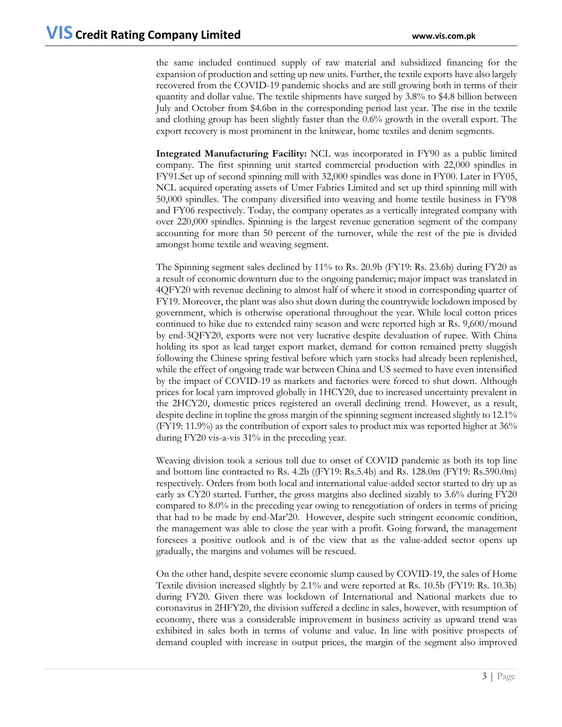the same included continued supply of raw material and subsidized financing for the expansion of production and setting up new units. Further, the textile exports have also largely recovered from the COVID-19 pandemic shocks and are still growing both in terms of their quantity and dollar value. The textile shipments have surged by 3.8% to \$4.8 billion between July and October from \$4.6bn in the corresponding period last year. The rise in the textile and clothing group has been slightly faster than the 0.6% growth in the overall export. The export recovery is most prominent in the knitwear, home textiles and denim segments.

**Integrated Manufacturing Facility:** NCL was incorporated in FY90 as a public limited company. The first spinning unit started commercial production with 22,000 spindles in FY91.Set up of second spinning mill with 32,000 spindles was done in FY00. Later in FY05, NCL acquired operating assets of Umer Fabrics Limited and set up third spinning mill with 50,000 spindles. The company diversified into weaving and home textile business in FY98 and FY06 respectively. Today, the company operates as a vertically integrated company with over 220,000 spindles. Spinning is the largest revenue generation segment of the company accounting for more than 50 percent of the turnover, while the rest of the pie is divided amongst home textile and weaving segment.

The Spinning segment sales declined by 11% to Rs. 20.9b (FY19: Rs. 23.6b) during FY20 as a result of economic downturn due to the ongoing pandemic; major impact was translated in 4QFY20 with revenue declining to almost half of where it stood in corresponding quarter of FY19. Moreover, the plant was also shut down during the countrywide lockdown imposed by government, which is otherwise operational throughout the year. While local cotton prices continued to hike due to extended rainy season and were reported high at Rs. 9,600/mound by end-3QFY20, exports were not very lucrative despite devaluation of rupee. With China holding its spot as lead target export market, demand for cotton remained pretty sluggish following the Chinese spring festival before which yarn stocks had already been replenished, while the effect of ongoing trade war between China and US seemed to have even intensified by the impact of COVID-19 as markets and factories were forced to shut down. Although prices for local yarn improved globally in 1HCY20, due to increased uncertainty prevalent in the 2HCY20, domestic prices registered an overall declining trend. However, as a result, despite decline in topline the gross margin of the spinning segment increased slightly to 12.1% (FY19: 11.9%) as the contribution of export sales to product mix was reported higher at 36% during FY20 vis-a-vis 31% in the preceding year.

Weaving division took a serious toll due to onset of COVID pandemic as both its top line and bottom line contracted to Rs. 4.2b ((FY19: Rs.5.4b) and Rs. 128.0m (FY19: Rs.590.0m) respectively. Orders from both local and international value-added sector started to dry up as early as CY20 started. Further, the gross margins also declined sizably to 3.6% during FY20 compared to 8.0% in the preceding year owing to renegotiation of orders in terms of pricing that had to be made by end-Mar'20. However, despite such stringent economic condition, the management was able to close the year with a profit. Going forward, the management foresees a positive outlook and is of the view that as the value-added sector opens up gradually, the margins and volumes will be rescued.

On the other hand, despite severe economic slump caused by COVID-19, the sales of Home Textile division increased slightly by 2.1% and were reported at Rs. 10.5b (FY19: Rs. 10.3b) during FY20. Given there was lockdown of International and National markets due to coronavirus in 2HFY20, the division suffered a decline in sales, however, with resumption of economy, there was a considerable improvement in business activity as upward trend was exhibited in sales both in terms of volume and value. In line with positive prospects of demand coupled with increase in output prices, the margin of the segment also improved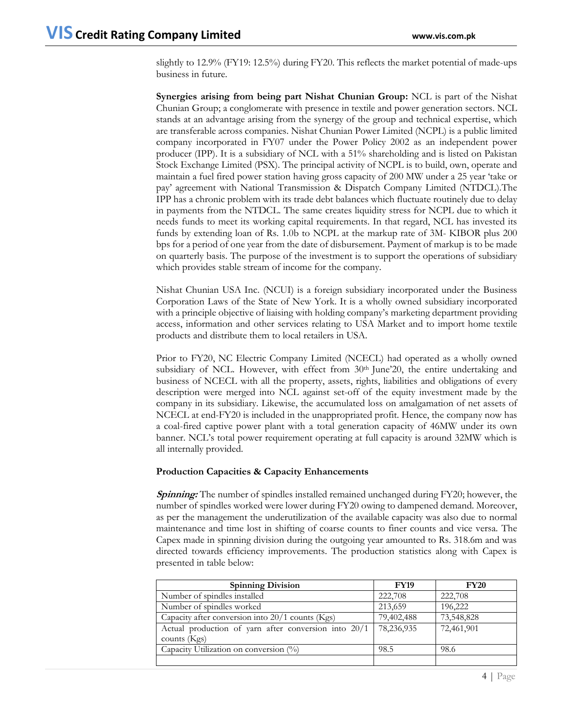slightly to 12.9% (FY19: 12.5%) during FY20. This reflects the market potential of made-ups business in future.

**Synergies arising from being part Nishat Chunian Group:** NCL is part of the Nishat Chunian Group; a conglomerate with presence in textile and power generation sectors. NCL stands at an advantage arising from the synergy of the group and technical expertise, which are transferable across companies. Nishat Chunian Power Limited (NCPL) is a public limited company incorporated in FY07 under the Power Policy 2002 as an independent power producer (IPP). It is a subsidiary of NCL with a 51% shareholding and is listed on Pakistan Stock Exchange Limited (PSX). The principal activity of NCPL is to build, own, operate and maintain a fuel fired power station having gross capacity of 200 MW under a 25 year 'take or pay' agreement with National Transmission & Dispatch Company Limited (NTDCL).The IPP has a chronic problem with its trade debt balances which fluctuate routinely due to delay in payments from the NTDCL. The same creates liquidity stress for NCPL due to which it needs funds to meet its working capital requirements. In that regard, NCL has invested its funds by extending loan of Rs. 1.0b to NCPL at the markup rate of 3M- KIBOR plus 200 bps for a period of one year from the date of disbursement. Payment of markup is to be made on quarterly basis. The purpose of the investment is to support the operations of subsidiary which provides stable stream of income for the company.

Nishat Chunian USA Inc. (NCUI) is a foreign subsidiary incorporated under the Business Corporation Laws of the State of New York. It is a wholly owned subsidiary incorporated with a principle objective of liaising with holding company's marketing department providing access, information and other services relating to USA Market and to import home textile products and distribute them to local retailers in USA.

Prior to FY20, NC Electric Company Limited (NCECL) had operated as a wholly owned subsidiary of NCL. However, with effect from  $30<sup>th</sup>$  June'20, the entire undertaking and business of NCECL with all the property, assets, rights, liabilities and obligations of every description were merged into NCL against set-off of the equity investment made by the company in its subsidiary. Likewise, the accumulated loss on amalgamation of net assets of NCECL at end-FY20 is included in the unappropriated profit. Hence, the company now has a coal-fired captive power plant with a total generation capacity of 46MW under its own banner. NCL's total power requirement operating at full capacity is around 32MW which is all internally provided.

# **Production Capacities & Capacity Enhancements**

**Spinning:** The number of spindles installed remained unchanged during FY20; however, the number of spindles worked were lower during FY20 owing to dampened demand. Moreover, as per the management the underutilization of the available capacity was also due to normal maintenance and time lost in shifting of coarse counts to finer counts and vice versa. The Capex made in spinning division during the outgoing year amounted to Rs. 318.6m and was directed towards efficiency improvements. The production statistics along with Capex is presented in table below:

| <b>Spinning Division</b>                             | <b>FY19</b> | <b>FY20</b> |
|------------------------------------------------------|-------------|-------------|
| Number of spindles installed                         | 222,708     | 222,708     |
| Number of spindles worked                            | 213,659     | 196,222     |
| Capacity after conversion into $20/1$ counts (Kgs)   | 79,402,488  | 73,548,828  |
| Actual production of yarn after conversion into 20/1 | 78,236,935  | 72,461,901  |
| counts $(Kgs)$                                       |             |             |
| Capacity Utilization on conversion (%)               | 98.5        | 98.6        |
|                                                      |             |             |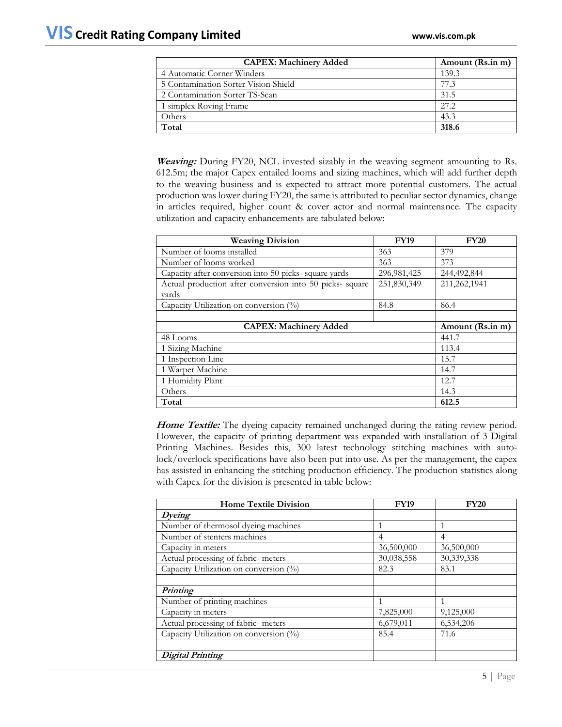| <b>CAPEX: Machinery Added</b>        | Amount (Rs.in m) |
|--------------------------------------|------------------|
| 4 Automatic Corner Winders           | 139.3            |
| 5 Contamination Sorter Vision Shield | 77.3             |
| 2 Contamination Sorter TS-Scan       | 31.5             |
| 1 simplex Roving Frame               | 27.2             |
| Others                               | 43.3             |
| Total                                | 318.6            |

**Weaving:** During FY20, NCL invested sizably in the weaving segment amounting to Rs. 612.5m; the major Capex entailed looms and sizing machines, which will add further depth to the weaving business and is expected to attract more potential customers. The actual production was lower during FY20, the same is attributed to peculiar sector dynamics, change in articles required, higher count & cover actor and normal maintenance. The capacity utilization and capacity enhancements are tabulated below:

| <b>Weaving Division</b>                                  | <b>FY19</b>   | <b>FY20</b>      |
|----------------------------------------------------------|---------------|------------------|
| Number of looms installed                                | 363           | 379              |
| Number of looms worked                                   | 363           | 373              |
| Capacity after conversion into 50 picks- square yards    | 296, 981, 425 | 244,492,844      |
| Actual production after conversion into 50 picks- square | 251,830,349   | 211,262,1941     |
| vards                                                    |               |                  |
| Capacity Utilization on conversion (%)                   | 84.8          | 86.4             |
|                                                          |               |                  |
| <b>CAPEX: Machinery Added</b>                            |               | Amount (Rs.in m) |
| 48 Looms                                                 |               | 441.7            |
| 1 Sizing Machine                                         | 113.4         |                  |
| 1 Inspection Line                                        | 15.7          |                  |
| 1 Warper Machine                                         | 14.7          |                  |
| 1 Humidity Plant                                         | 12.7          |                  |
| Others                                                   |               | 14.3             |
| Total                                                    |               | 612.5            |

**Home Textile:** The dyeing capacity remained unchanged during the rating review period. However, the capacity of printing department was expanded with installation of 3 Digital Printing Machines. Besides this, 300 latest technology stitching machines with autolock/overlock specifications have also been put into use. As per the management, the capex has assisted in enhancing the stitching production efficiency. The production statistics along with Capex for the division is presented in table below:

| <b>Home Textile Division</b>           | <b>FY19</b>    | <b>FY20</b> |  |
|----------------------------------------|----------------|-------------|--|
| Dyeing                                 |                |             |  |
| Number of thermosol dyeing machines    |                | 1           |  |
| Number of stenters machines            | $\overline{4}$ | 4           |  |
| Capacity in meters                     | 36,500,000     | 36,500,000  |  |
| Actual processing of fabric- meters    | 30,038,558     | 30,339,338  |  |
| Capacity Utilization on conversion (%) | 82.3           | 83.1        |  |
|                                        |                |             |  |
| <b>Printing</b>                        |                |             |  |
| Number of printing machines            | 1              | 1           |  |
| Capacity in meters                     | 7,825,000      | 9,125,000   |  |
| Actual processing of fabric- meters    | 6,679,011      | 6,534,206   |  |
| Capacity Utilization on conversion (%) | 85.4           | 71.6        |  |
|                                        |                |             |  |
| Digital Printing                       |                |             |  |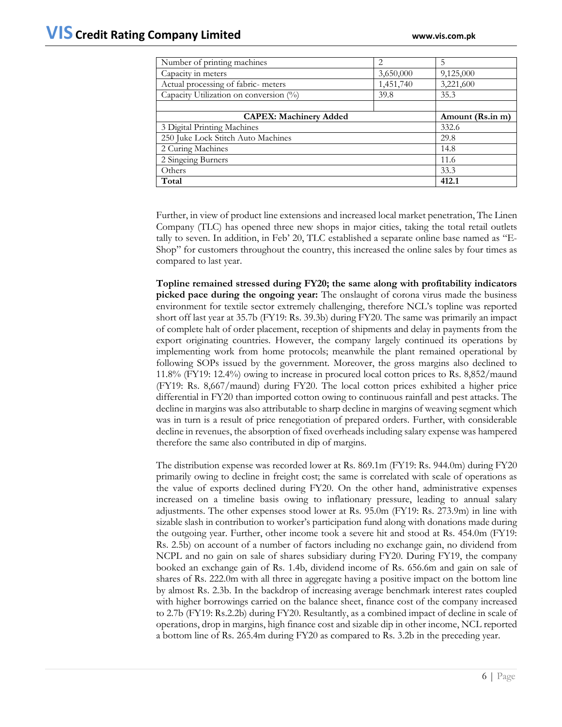| Number of printing machines            | 2         | 5                |
|----------------------------------------|-----------|------------------|
| Capacity in meters                     | 3,650,000 | 9,125,000        |
| Actual processing of fabric- meters    | 1,451,740 | 3,221,600        |
| Capacity Utilization on conversion (%) | 39.8      | 35.3             |
|                                        |           |                  |
| <b>CAPEX: Machinery Added</b>          |           | Amount (Rs.in m) |
| 3 Digital Printing Machines            |           | 332.6            |
| 250 Juke Lock Stitch Auto Machines     |           | 29.8             |
| 2 Curing Machines                      | 14.8      |                  |
| 2 Singeing Burners                     | 11.6      |                  |
| Others                                 |           | 33.3             |
| Total                                  |           | 412.1            |

Further, in view of product line extensions and increased local market penetration, The Linen Company (TLC) has opened three new shops in major cities, taking the total retail outlets tally to seven. In addition, in Feb' 20, TLC established a separate online base named as "E-Shop" for customers throughout the country, this increased the online sales by four times as compared to last year.

**Topline remained stressed during FY20; the same along with profitability indicators picked pace during the ongoing year:** The onslaught of corona virus made the business environment for textile sector extremely challenging, therefore NCL's topline was reported short off last year at 35.7b (FY19: Rs. 39.3b) during FY20. The same was primarily an impact of complete halt of order placement, reception of shipments and delay in payments from the export originating countries. However, the company largely continued its operations by implementing work from home protocols; meanwhile the plant remained operational by following SOPs issued by the government. Moreover, the gross margins also declined to 11.8% (FY19: 12.4%) owing to increase in procured local cotton prices to Rs. 8,852/maund (FY19: Rs. 8,667/maund) during FY20. The local cotton prices exhibited a higher price differential in FY20 than imported cotton owing to continuous rainfall and pest attacks. The decline in margins was also attributable to sharp decline in margins of weaving segment which was in turn is a result of price renegotiation of prepared orders. Further, with considerable decline in revenues, the absorption of fixed overheads including salary expense was hampered therefore the same also contributed in dip of margins.

The distribution expense was recorded lower at Rs. 869.1m (FY19: Rs. 944.0m) during FY20 primarily owing to decline in freight cost; the same is correlated with scale of operations as the value of exports declined during FY20. On the other hand, administrative expenses increased on a timeline basis owing to inflationary pressure, leading to annual salary adjustments. The other expenses stood lower at Rs. 95.0m (FY19: Rs. 273.9m) in line with sizable slash in contribution to worker's participation fund along with donations made during the outgoing year. Further, other income took a severe hit and stood at Rs. 454.0m (FY19: Rs. 2.5b) on account of a number of factors including no exchange gain, no dividend from NCPL and no gain on sale of shares subsidiary during FY20. During FY19, the company booked an exchange gain of Rs. 1.4b, dividend income of Rs. 656.6m and gain on sale of shares of Rs. 222.0m with all three in aggregate having a positive impact on the bottom line by almost Rs. 2.3b. In the backdrop of increasing average benchmark interest rates coupled with higher borrowings carried on the balance sheet, finance cost of the company increased to 2.7b (FY19: Rs.2.2b) during FY20. Resultantly, as a combined impact of decline in scale of operations, drop in margins, high finance cost and sizable dip in other income, NCL reported a bottom line of Rs. 265.4m during FY20 as compared to Rs. 3.2b in the preceding year.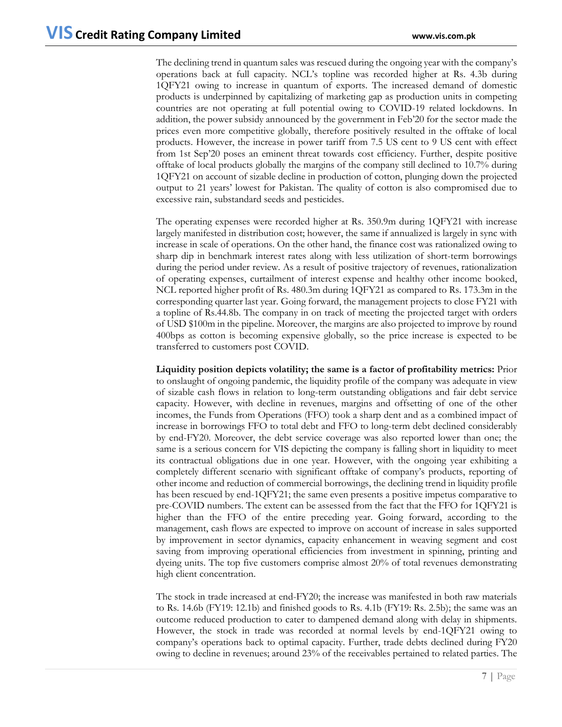The declining trend in quantum sales was rescued during the ongoing year with the company's operations back at full capacity. NCL's topline was recorded higher at Rs. 4.3b during 1QFY21 owing to increase in quantum of exports. The increased demand of domestic products is underpinned by capitalizing of marketing gap as production units in competing countries are not operating at full potential owing to COVID-19 related lockdowns. In addition, the power subsidy announced by the government in Feb'20 for the sector made the prices even more competitive globally, therefore positively resulted in the offtake of local products. However, the increase in power tariff from 7.5 US cent to 9 US cent with effect from 1st Sep'20 poses an eminent threat towards cost efficiency. Further, despite positive offtake of local products globally the margins of the company still declined to 10.7% during 1QFY21 on account of sizable decline in production of cotton, plunging down the projected output to 21 years' lowest for Pakistan. The quality of cotton is also compromised due to excessive rain, substandard seeds and pesticides.

The operating expenses were recorded higher at Rs. 350.9m during 1QFY21 with increase largely manifested in distribution cost; however, the same if annualized is largely in sync with increase in scale of operations. On the other hand, the finance cost was rationalized owing to sharp dip in benchmark interest rates along with less utilization of short-term borrowings during the period under review. As a result of positive trajectory of revenues, rationalization of operating expenses, curtailment of interest expense and healthy other income booked, NCL reported higher profit of Rs. 480.3m during 1QFY21 as compared to Rs. 173.3m in the corresponding quarter last year. Going forward, the management projects to close FY21 with a topline of Rs.44.8b. The company in on track of meeting the projected target with orders of USD \$100m in the pipeline. Moreover, the margins are also projected to improve by round 400bps as cotton is becoming expensive globally, so the price increase is expected to be transferred to customers post COVID.

**Liquidity position depicts volatility; the same is a factor of profitability metrics:** Prior to onslaught of ongoing pandemic, the liquidity profile of the company was adequate in view of sizable cash flows in relation to long-term outstanding obligations and fair debt service capacity. However, with decline in revenues, margins and offsetting of one of the other incomes, the Funds from Operations (FFO) took a sharp dent and as a combined impact of increase in borrowings FFO to total debt and FFO to long-term debt declined considerably by end-FY20. Moreover, the debt service coverage was also reported lower than one; the same is a serious concern for VIS depicting the company is falling short in liquidity to meet its contractual obligations due in one year. However, with the ongoing year exhibiting a completely different scenario with significant offtake of company's products, reporting of other income and reduction of commercial borrowings, the declining trend in liquidity profile has been rescued by end-1QFY21; the same even presents a positive impetus comparative to pre-COVID numbers. The extent can be assessed from the fact that the FFO for 1QFY21 is higher than the FFO of the entire preceding year. Going forward, according to the management, cash flows are expected to improve on account of increase in sales supported by improvement in sector dynamics, capacity enhancement in weaving segment and cost saving from improving operational efficiencies from investment in spinning, printing and dyeing units. The top five customers comprise almost 20% of total revenues demonstrating high client concentration.

The stock in trade increased at end-FY20; the increase was manifested in both raw materials to Rs. 14.6b (FY19: 12.1b) and finished goods to Rs. 4.1b (FY19: Rs. 2.5b); the same was an outcome reduced production to cater to dampened demand along with delay in shipments. However, the stock in trade was recorded at normal levels by end-1QFY21 owing to company's operations back to optimal capacity. Further, trade debts declined during FY20 owing to decline in revenues; around 23% of the receivables pertained to related parties. The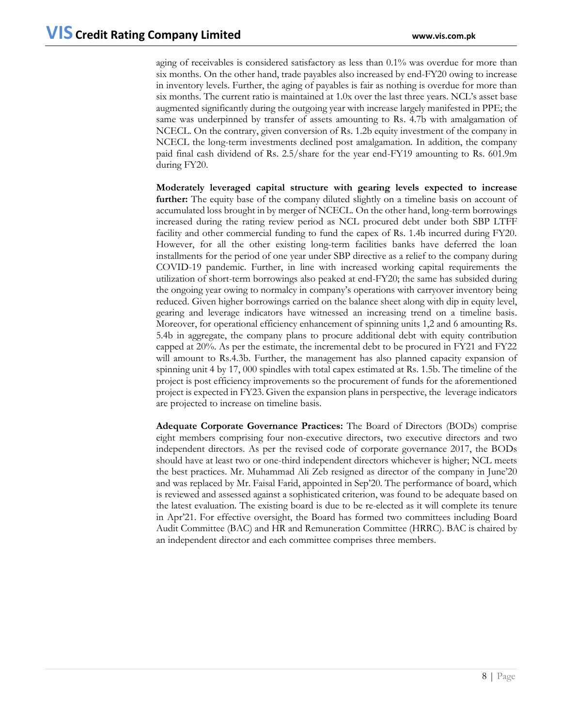aging of receivables is considered satisfactory as less than 0.1% was overdue for more than six months. On the other hand, trade payables also increased by end-FY20 owing to increase in inventory levels. Further, the aging of payables is fair as nothing is overdue for more than six months. The current ratio is maintained at 1.0x over the last three years. NCL's asset base augmented significantly during the outgoing year with increase largely manifested in PPE; the same was underpinned by transfer of assets amounting to Rs. 4.7b with amalgamation of NCECL. On the contrary, given conversion of Rs. 1.2b equity investment of the company in NCECL the long-term investments declined post amalgamation. In addition, the company paid final cash dividend of Rs. 2.5/share for the year end-FY19 amounting to Rs. 601.9m during FY20.

**Moderately leveraged capital structure with gearing levels expected to increase further:** The equity base of the company diluted slightly on a timeline basis on account of accumulated loss brought in by merger of NCECL. On the other hand, long-term borrowings increased during the rating review period as NCL procured debt under both SBP LTFF facility and other commercial funding to fund the capex of Rs. 1.4b incurred during FY20. However, for all the other existing long-term facilities banks have deferred the loan installments for the period of one year under SBP directive as a relief to the company during COVID-19 pandemic. Further, in line with increased working capital requirements the utilization of short-term borrowings also peaked at end-FY20; the same has subsided during the ongoing year owing to normalcy in company's operations with carryover inventory being reduced. Given higher borrowings carried on the balance sheet along with dip in equity level, gearing and leverage indicators have witnessed an increasing trend on a timeline basis. Moreover, for operational efficiency enhancement of spinning units 1,2 and 6 amounting Rs. 5.4b in aggregate, the company plans to procure additional debt with equity contribution capped at 20%. As per the estimate, the incremental debt to be procured in FY21 and FY22 will amount to Rs.4.3b. Further, the management has also planned capacity expansion of spinning unit 4 by 17, 000 spindles with total capex estimated at Rs. 1.5b. The timeline of the project is post efficiency improvements so the procurement of funds for the aforementioned project is expected in FY23. Given the expansion plans in perspective, the leverage indicators are projected to increase on timeline basis.

**Adequate Corporate Governance Practices:** The Board of Directors (BODs) comprise eight members comprising four non-executive directors, two executive directors and two independent directors. As per the revised code of corporate governance 2017, the BODs should have at least two or one-third independent directors whichever is higher; NCL meets the best practices. Mr. Muhammad Ali Zeb resigned as director of the company in June'20 and was replaced by Mr. Faisal Farid, appointed in Sep'20. The performance of board, which is reviewed and assessed against a sophisticated criterion, was found to be adequate based on the latest evaluation. The existing board is due to be re-elected as it will complete its tenure in Apr'21. For effective oversight, the Board has formed two committees including Board Audit Committee (BAC) and HR and Remuneration Committee (HRRC). BAC is chaired by an independent director and each committee comprises three members.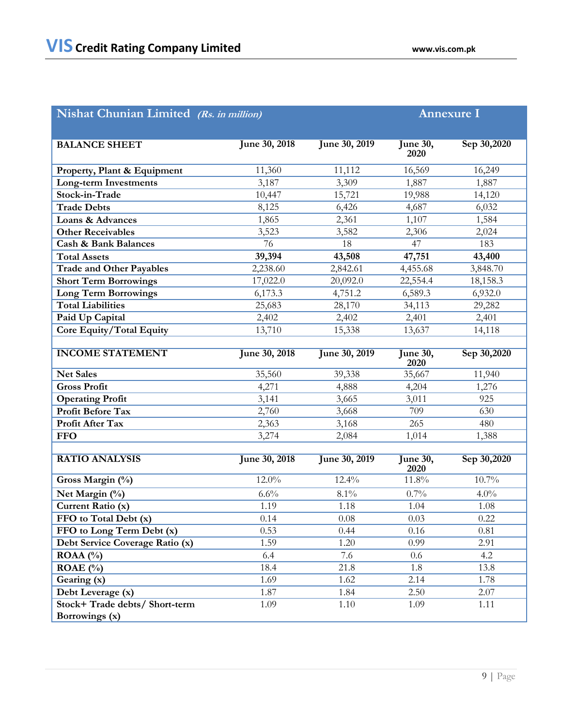| Nishat Chunian Limited (Rs. in million) | <b>Annexure I</b> |                      |                         |             |
|-----------------------------------------|-------------------|----------------------|-------------------------|-------------|
|                                         |                   |                      |                         |             |
| <b>BALANCE SHEET</b>                    | June 30, 2018     | <b>June 30, 2019</b> | <b>June 30,</b><br>2020 | Sep 30,2020 |
| Property, Plant & Equipment             | 11,360            | 11,112               | 16,569                  | 16,249      |
| <b>Long-term Investments</b>            | 3,187             | 3,309                | 1,887                   | 1,887       |
| Stock-in-Trade                          | 10,447            | 15,721               | 19,988                  | 14,120      |
| <b>Trade Debts</b>                      | 8,125             | 6,426                | 4,687                   | 6,032       |
| <b>Loans &amp; Advances</b>             | 1,865             | 2,361                | 1,107                   | 1,584       |
| <b>Other Receivables</b>                | 3,523             | 3,582                | 2,306                   | 2,024       |
| Cash & Bank Balances                    | 76                | 18                   | 47                      | 183         |
| <b>Total Assets</b>                     | 39,394            | 43,508               | 47,751                  | 43,400      |
| <b>Trade and Other Payables</b>         | 2,238.60          | 2,842.61             | 4,455.68                | 3,848.70    |
| <b>Short Term Borrowings</b>            | 17,022.0          | 20,092.0             | 22,554.4                | 18,158.3    |
| <b>Long Term Borrowings</b>             | 6,173.3           | 4,751.2              | 6,589.3                 | 6,932.0     |
| <b>Total Liabilities</b>                | 25,683            | 28,170               | 34,113                  | 29,282      |
| Paid Up Capital                         | 2,402             | 2,402                | 2,401                   | 2,401       |
| Core Equity/Total Equity                | 13,710            | 15,338               | 13,637                  | 14,118      |
| <b>INCOME STATEMENT</b>                 | June 30, 2018     | June 30, 2019        | <b>June 30,</b><br>2020 | Sep 30,2020 |
| <b>Net Sales</b>                        | 35,560            | 39,338               | 35,667                  | 11,940      |
| <b>Gross Profit</b>                     | 4,271             | 4,888                | 4,204                   | 1,276       |
| <b>Operating Profit</b>                 | 3,141             | 3,665                | 3,011                   | 925         |
| <b>Profit Before Tax</b>                | 2,760             | 3,668                | 709                     | 630         |
| Profit After Tax                        | 2,363             | 3,168                | 265                     | 480         |
| <b>FFO</b>                              | 3,274             | 2,084                | 1,014                   | 1,388       |
| <b>RATIO ANALYSIS</b>                   | June 30, 2018     | June 30, 2019        | <b>June 30,</b><br>2020 | Sep 30,2020 |
| Gross Margin (%)                        | 12.0%             | 12.4%                | 11.8%                   | 10.7%       |
| Net Margin (%)                          | 6.6%              | 8.1%                 | 0.7%                    | 4.0%        |
| Current Ratio (x)                       | 1.19              | 1.18                 | 1.04                    | 1.08        |
| FFO to Total Debt (x)                   | 0.14              | 0.08                 | $0.03\,$                | 0.22        |
| FFO to Long Term Debt (x)               | 0.53              | 0.44                 | 0.16                    | 0.81        |
| Debt Service Coverage Ratio (x)         | 1.59              | 1.20                 | 0.99                    | 2.91        |
| ROAA $(\% )$                            | 6.4               | 7.6                  | 0.6                     | 4.2         |
| ROAE $(\%$                              | 18.4              | 21.8                 | 1.8                     | 13.8        |
| Gearing (x)                             | 1.69              | 1.62                 | 2.14                    | 1.78        |
| Debt Leverage (x)                       | 1.87              | 1.84                 | 2.50                    | 2.07        |
| Stock+ Trade debts/ Short-term          | 1.09              | 1.10                 | 1.09                    | 1.11        |
| Borrowings (x)                          |                   |                      |                         |             |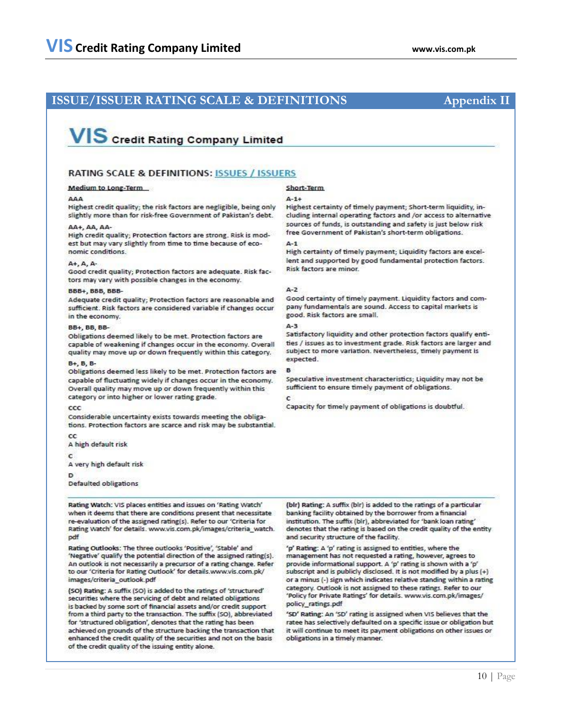# **ISSUE/ISSUER RATING SCALE & DEFINITIONS Appendix II**

# **VIS** Credit Rating Company Limited

# **RATING SCALE & DEFINITIONS: ISSUES / ISSUERS**

## **Medium to Long-Term**

Highest credit quality; the risk factors are negligible, being only slightly more than for risk-free Government of Pakistan's debt.

### AA+, AA, AA-

High credit quality; Protection factors are strong. Risk is modest but may vary slightly from time to time because of economic conditions.

## A+, A, A-

Good credit quality; Protection factors are adequate. Risk factors may vary with possible changes in the economy.

### **BBB+, BBB, BBB-**

Adequate credit quality; Protection factors are reasonable and sufficient. Risk factors are considered variable if changes occur in the economy.

### **BB+, BB, BB-**

Obligations deemed likely to be met. Protection factors are capable of weakening if changes occur in the economy. Overall quality may move up or down frequently within this category.

## B+, B, B-

Obligations deemed less likely to be met. Protection factors are capable of fluctuating widely if changes occur in the economy. Overall quality may move up or down frequently within this category or into higher or lower rating grade.

### $_{\rm ccc}$

Considerable uncertainty exists towards meeting the obligations. Protection factors are scarce and risk may be substantial.

cc

A high default risk

c

A very high default risk

Ð

Defaulted obligations

Rating Watch: VIS places entities and issues on 'Rating Watch' when it deems that there are conditions present that necessitate re-evaluation of the assigned rating(s). Refer to our 'Criteria for Rating Watch' for details. www.vis.com.pk/images/criteria\_watch. pdf

Rating Outlooks: The three outlooks 'Positive', 'Stable' and 'Negative' qualify the potential direction of the assigned rating(s). An outlook is not necessarily a precursor of a rating change. Refer to our 'Criteria for Rating Outlook' for details.www.vis.com.pk/ images/criteria\_outlook.pdf

(SO) Rating: A suffix (SO) is added to the ratings of 'structured' securities where the servicing of debt and related obligations is backed by some sort of financial assets and/or credit support from a third party to the transaction. The suffix (SO), abbreviated for 'structured obligation', denotes that the rating has been achieved on grounds of the structure backing the transaction that enhanced the credit quality of the securities and not on the basis of the credit quality of the issuing entity alone.

## Short-Term

### $A - 1 +$

Highest certainty of timely payment; Short-term liquidity, including internal operating factors and /or access to alternative sources of funds, is outstanding and safety is just below risk free Government of Pakistan's short-term obligations.

# $A-1$

High certainty of timely payment; Liquidity factors are excellent and supported by good fundamental protection factors. Risk factors are minor.

### $A - 2$

Good certainty of timely payment. Liquidity factors and company fundamentals are sound. Access to capital markets is good. Risk factors are small.

## $A-3$

Satisfactory liquidity and other protection factors qualify entities / issues as to investment grade. Risk factors are larger and subject to more variation. Nevertheless, timely payment is expected.

Speculative investment characteristics; Liquidity may not be sufficient to ensure timely payment of obligations.

# ċ

Capacity for timely payment of obligations is doubtful.

(blr) Rating: A suffix (blr) is added to the ratings of a particular banking facility obtained by the borrower from a financial institution. The suffix (bir), abbreviated for 'bank loan rating' denotes that the rating is based on the credit quality of the entity and security structure of the facility.

'p' Rating: A 'p' rating is assigned to entities, where the management has not requested a rating, however, agrees to provide informational support. A 'p' rating is shown with a 'p' subscript and is publicly disclosed. It is not modified by a plus (+) or a minus (-) sign which indicates relative standing within a rating category. Outlook is not assigned to these ratings. Refer to our 'Policy for Private Ratings' for details. www.vis.com.pk/images/ policy\_ratings.pdf

'SD' Rating: An 'SD' rating is assigned when VIS believes that the ratee has selectively defaulted on a specific issue or obligation but it will continue to meet its payment obligations on other issues or obligations in a timely manner.